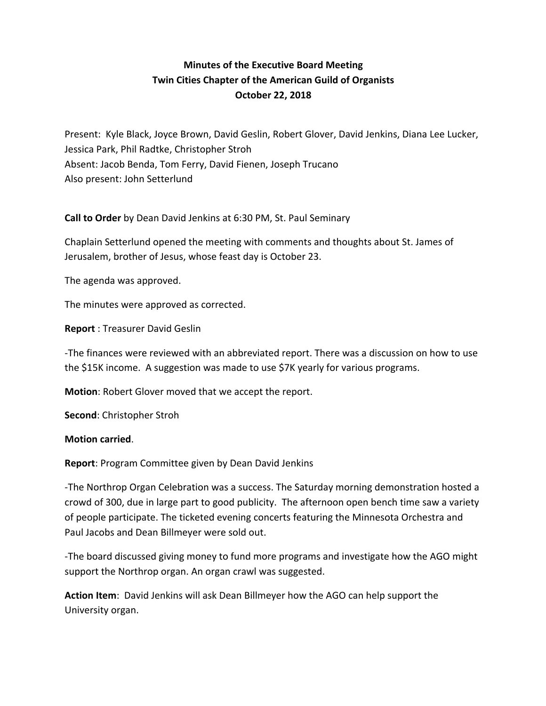## **Minutes of the Executive Board Meeting Twin Cities Chapter of the American Guild of Organists October 22, 2018**

Present: Kyle Black, Joyce Brown, David Geslin, Robert Glover, David Jenkins, Diana Lee Lucker, Jessica Park, Phil Radtke, Christopher Stroh Absent: Jacob Benda, Tom Ferry, David Fienen, Joseph Trucano Also present: John Setterlund

**Call to Order** by Dean David Jenkins at 6:30 PM, St. Paul Seminary

Chaplain Setterlund opened the meeting with comments and thoughts about St. James of Jerusalem, brother of Jesus, whose feast day is October 23.

The agenda was approved.

The minutes were approved as corrected.

**Report**: Treasurer David Geslin

-The finances were reviewed with an abbreviated report. There was a discussion on how to use the \$15K income. A suggestion was made to use \$7K yearly for various programs.

**Motion**: Robert Glover moved that we accept the report.

**Second:** Christopher Stroh

**Motion carried**.

**Report:** Program Committee given by Dean David Jenkins

-The Northrop Organ Celebration was a success. The Saturday morning demonstration hosted a crowd of 300, due in large part to good publicity. The afternoon open bench time saw a variety of people participate. The ticketed evening concerts featuring the Minnesota Orchestra and Paul Jacobs and Dean Billmeyer were sold out.

-The board discussed giving money to fund more programs and investigate how the AGO might support the Northrop organ. An organ crawl was suggested.

**Action Item**: David Jenkins will ask Dean Billmeyer how the AGO can help support the University organ.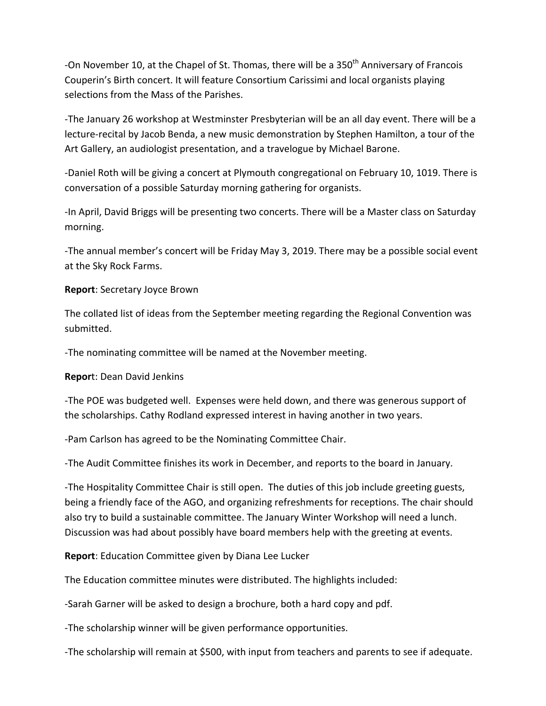-On November 10, at the Chapel of St. Thomas, there will be a  $350<sup>th</sup>$  Anniversary of Francois Couperin's Birth concert. It will feature Consortium Carissimi and local organists playing selections from the Mass of the Parishes.

-The January 26 workshop at Westminster Presbyterian will be an all day event. There will be a lecture-recital by Jacob Benda, a new music demonstration by Stephen Hamilton, a tour of the Art Gallery, an audiologist presentation, and a travelogue by Michael Barone.

-Daniel Roth will be giving a concert at Plymouth congregational on February 10, 1019. There is conversation of a possible Saturday morning gathering for organists.

-In April, David Briggs will be presenting two concerts. There will be a Master class on Saturday morning.

-The annual member's concert will be Friday May 3, 2019. There may be a possible social event at the Sky Rock Farms.

## **Report:** Secretary Joyce Brown

The collated list of ideas from the September meeting regarding the Regional Convention was submitted.

-The nominating committee will be named at the November meeting.

**Report: Dean David Jenkins** 

-The POE was budgeted well. Expenses were held down, and there was generous support of the scholarships. Cathy Rodland expressed interest in having another in two years.

-Pam Carlson has agreed to be the Nominating Committee Chair.

-The Audit Committee finishes its work in December, and reports to the board in January.

-The Hospitality Committee Chair is still open. The duties of this job include greeting guests, being a friendly face of the AGO, and organizing refreshments for receptions. The chair should also try to build a sustainable committee. The January Winter Workshop will need a lunch. Discussion was had about possibly have board members help with the greeting at events.

**Report:** Education Committee given by Diana Lee Lucker

The Education committee minutes were distributed. The highlights included:

-Sarah Garner will be asked to design a brochure, both a hard copy and pdf.

-The scholarship winner will be given performance opportunities.

-The scholarship will remain at \$500, with input from teachers and parents to see if adequate.